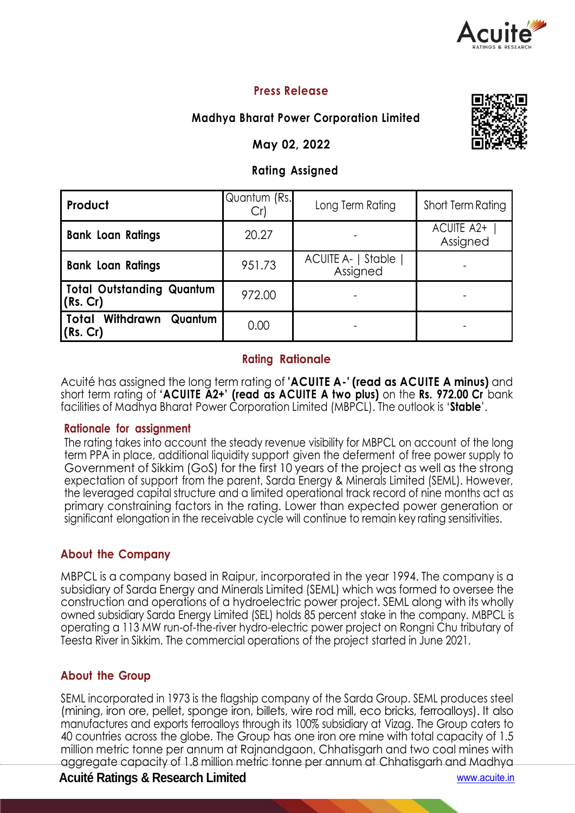

# **Press Release**

# **Madhya Bharat Power Corporation Limited**

### **May 02, 2022**

# **Rating Assigned**

| Product                                | Quantum (Rs.<br>Cr | Long Term Rating               | Short Term Rating      |  |
|----------------------------------------|--------------------|--------------------------------|------------------------|--|
| <b>Bank Loan Ratings</b>               | 20.27              |                                | ACUITE A2+<br>Assigned |  |
| <b>Bank Loan Ratings</b>               | 951.73             | ACUITE A-   Stable<br>Assigned |                        |  |
| Total Outstanding Quantum<br>(Rs. Cr)  | 972.00             |                                |                        |  |
| Total Withdrawn<br>Quantum<br>(Rs. Cr) | 0.00               |                                |                        |  |

### **Rating Rationale**

Acuité has assigned the long term rating of **'ACUITE A-' (read as ACUITE A minus)** and short term rating of **'ACUITE A2+' (read as ACUITE A two plus)** on the **Rs. 972.00 Cr** bank facilities of Madhya Bharat Power Corporation Limited (MBPCL). The outlook is '**Stable**'.

#### **Rationale for assignment**

The rating takes into account the steady revenue visibility for MBPCL on account of the long term PPA in place, additional liquidity support given the deferment of free power supply to Government of Sikkim (GoS) for the first 10 years of the project as well as the strong expectation of support from the parent, Sarda Energy & Minerals Limited (SEML). However, the leveraged capital structure and a limited operational track record of nine months act as primary constraining factors in the rating. Lower than expected power generation or significant elongation in the receivable cycle will continue to remain key rating sensitivities.

## **About the Company**

MBPCL is a company based in Raipur, incorporated in the year 1994. The company is a subsidiary of Sarda Energy and Minerals Limited (SEML) which was formed to oversee the construction and operations of a hydroelectric power project. SEML along with its wholly owned subsidiary Sarda Energy Limited (SEL) holds 85 percent stake in the company. MBPCL is operating a 113 MW run-of-the-river hydro-electric power project on Rongni Chu tributary of Teesta River in Sikkim. The commercial operations of the project started in June 2021.

## **About the Group**

SEML incorporated in 1973 is the flagship company of the Sarda Group. SEML produces steel (mining, iron ore, pellet, sponge iron, billets, wire rod mill, eco bricks, ferroalloys). It also manufactures and exports ferroalloys through its 100% subsidiary at Vizag. The Group caters to 40 countries across the globe. The Group has one iron ore mine with total capacity of 1.5 million metric tonne per annum at Rajnandgaon, Chhatisgarh and two coal mines with aggregate capacity of 1.8 million metric tonne per annum at Chhatisgarh and Madhya

## **Acuité Ratings & Research Limited** www.acuite.in



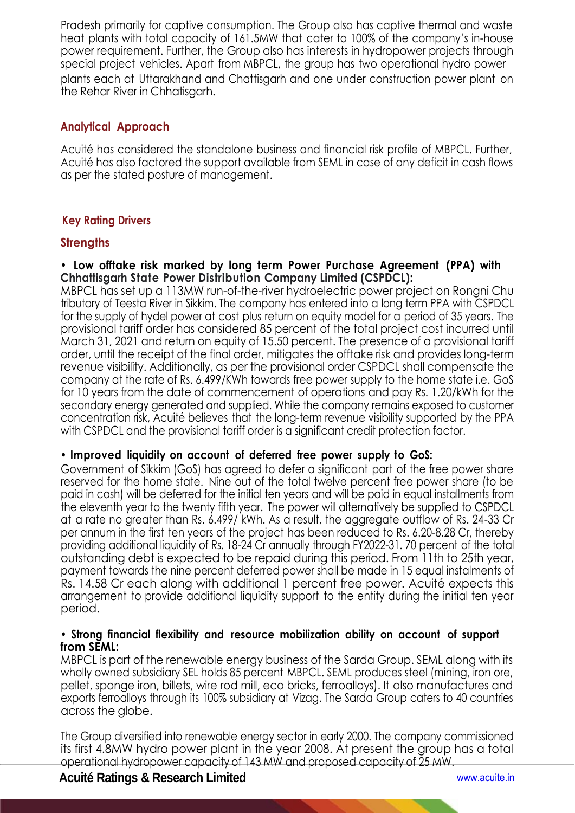Pradesh primarily for captive consumption. The Group also has captive thermal and waste heat plants with total capacity of 161.5MW that cater to 100% of the company's in-house power requirement. Further, the Group also has interests in hydropower projects through special project vehicles. Apart from MBPCL, the group has two operational hydro power plants each at Uttarakhand and Chattisgarh and one under construction power plant on the Rehar River in Chhatisgarh.

## **Analytical Approach**

Acuité has considered the standalone business and financial risk profile of MBPCL. Further, Acuité has also factored the support available from SEML in case of any deficit in cash flows as per the stated posture of management.

# **Key Rating Drivers**

### **Strengths**

**• Low offtake risk marked by long term Power Purchase Agreement (PPA) with Chhattisgarh State Power Distribution Company Limited (CSPDCL):**

MBPCL has set up a 113MW run-of-the-river hydroelectric power project on Rongni Chu tributary of Teesta River in Sikkim. The company has entered into a long term PPA with CSPDCL for the supply of hydel power at cost plus return on equity model for a period of 35 years. The provisional tariff order has considered 85 percent of the total project cost incurred until March 31, 2021 and return on equity of 15.50 percent. The presence of a provisional tariff order, until the receipt of the final order, mitigates the offtake risk and provides long-term revenue visibility. Additionally, as per the provisional order CSPDCL shall compensate the company at the rate of Rs. 6.499/KWh towards free power supply to the home state i.e. GoS for 10 years from the date of commencement of operations and pay Rs. 1.20/kWh for the secondary energy generated and supplied. While the company remains exposed to customer concentration risk, Acuité believes that the long-term revenue visibility supported by the PPA with CSPDCL and the provisional tariff order is a significant credit protection factor.

### **• Improved liquidity on account of deferred free power supply to GoS:**

Government of Sikkim (GoS) has agreed to defer a significant part of the free power share reserved for the home state. Nine out of the total twelve percent free power share (to be paid in cash) will be deferred for the initial ten years and will be paid in equal installments from the eleventh year to the twenty fifth year. The power will alternatively be supplied to CSPDCL at a rate no greater than Rs. 6.499/ kWh. As a result, the aggregate outflow of Rs. 24-33 Cr per annum in the first ten years of the project has been reduced to Rs. 6.20-8.28 Cr, thereby providing additional liquidity of Rs. 18-24 Cr annually through FY2022-31. 70 percent of the total outstanding debt is expected to be repaid during this period. From 11th to 25th year, payment towards the nine percent deferred power shall be made in 15 equal instalments of Rs. 14.58 Cr each along with additional 1 percent free power. Acuité expects this arrangement to provide additional liquidity support to the entity during the initial ten year period.

#### **• Strong financial flexibility and resource mobilization ability on account of support from SEML:**

MBPCL is part of the renewable energy business of the Sarda Group. SEML along with its wholly owned subsidiary SEL holds 85 percent MBPCL. SEML produces steel (mining, iron ore, pellet, sponge iron, billets, wire rod mill, eco bricks, ferroalloys). It also manufactures and exports ferroalloys through its 100% subsidiary at Vizag. The Sarda Group caters to 40 countries across the globe.

The Group diversified into renewable energy sector in early 2000. The company commissioned its first 4.8MW hydro power plant in the year 2008. At present the group has a total operational hydropower capacity of 143 MW and proposed capacity of 25 MW.

×.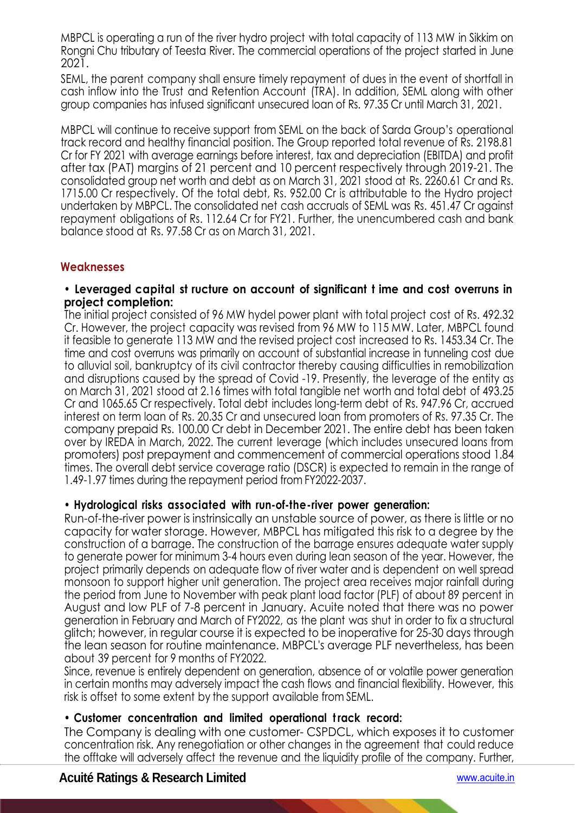MBPCL is operating a run of the river hydro project with total capacity of 113 MW in Sikkim on Rongni Chu tributary of Teesta River. The commercial operations of the project started in June 2021.

SEML, the parent company shall ensure timely repayment of dues in the event of shortfall in cash inflow into the Trust and Retention Account (TRA). In addition, SEML along with other group companies has infused significant unsecured loan of Rs. 97.35 Cr until March 31, 2021.

MBPCL will continue to receive support from SEML on the back of Sarda Group's operational track record and healthy financial position. The Group reported total revenue of Rs. 2198.81 Cr for FY 2021 with average earnings before interest, tax and depreciation (EBITDA) and profit after tax (PAT) margins of 21 percent and 10 percent respectively through 2019-21. The consolidated group net worth and debt as on March 31, 2021 stood at Rs. 2260.61 Cr and Rs. 1715.00 Cr respectively. Of the total debt, Rs. 952.00 Cr is attributable to the Hydro project undertaken by MBPCL. The consolidated net cash accruals of SEML was Rs. 451.47 Cr against repayment obligations of Rs. 112.64 Cr for FY21. Further, the unencumbered cash and bank balance stood at Rs. 97.58 Cr as on March 31, 2021.

### **Weaknesses**

#### **• Leveraged capital st ructure on account of significant t ime and cost overruns in project completion:**

The initial project consisted of 96 MW hydel power plant with total project cost of Rs. 492.32 Cr. However, the project capacity was revised from 96 MW to 115 MW. Later, MBPCL found it feasible to generate 113 MW and the revised project cost increased to Rs. 1453.34 Cr. The time and cost overruns was primarily on account of substantial increase in tunneling cost due to alluvial soil, bankruptcy of its civil contractor thereby causing difficulties in remobilization and disruptions caused by the spread of Covid -19. Presently, the leverage of the entity as on March 31, 2021 stood at 2.16 times with total tangible net worth and total debt of 493.25 Cr and 1065.65 Cr respectively. Total debt includes long-term debt of Rs. 947.96 Cr, accrued interest on term loan of Rs. 20.35 Cr and unsecured loan from promoters of Rs. 97.35 Cr. The company prepaid Rs. 100.00 Cr debt in December 2021. The entire debt has been taken over by IREDA in March, 2022. The current leverage (which includes unsecured loans from promoters) post prepayment and commencement of commercial operations stood 1.84 times. The overall debt service coverage ratio (DSCR) is expected to remain in the range of 1.49-1.97 times during the repayment period from FY2022-2037.

### **• Hydrological risks associated with run-of-the-river power generation:**

Run-of-the-river power is instrinsically an unstable source of power, as there is little or no capacity for water storage. However, MBPCL has mitigated this risk to a degree by the construction of a barrage. The construction of the barrage ensures adequate water supply to generate power for minimum 3-4 hours even during lean season of the year. However, the project primarily depends on adequate flow of river water and is dependent on well spread monsoon to support higher unit generation. The project area receives major rainfall during the period from June to November with peak plant load factor (PLF) of about 89 percent in August and low PLF of 7-8 percent in January. Acuite noted that there was no power generation in February and March of FY2022, as the plant was shut in order to fix a structural glitch; however, in regular course it is expected to be inoperative for 25-30 days through the lean season for routine maintenance. MBPCL's average PLF nevertheless, has been about 39 percent for 9 months of FY2022.

Since, revenue is entirely dependent on generation, absence of or volatile power generation in certain months may adversely impact the cash flows and financial flexibility. However, this risk is offset to some extent by the support available from SEML.

### **• Customer concentration and limited operational t rack record:**

The Company is dealing with one customer- CSPDCL, which exposes it to customer concentration risk. Any renegotiation or other changes in the agreement that could reduce the offtake will adversely affect the revenue and the liquidity profile of the company. Further,

 $\overline{\phantom{0}}$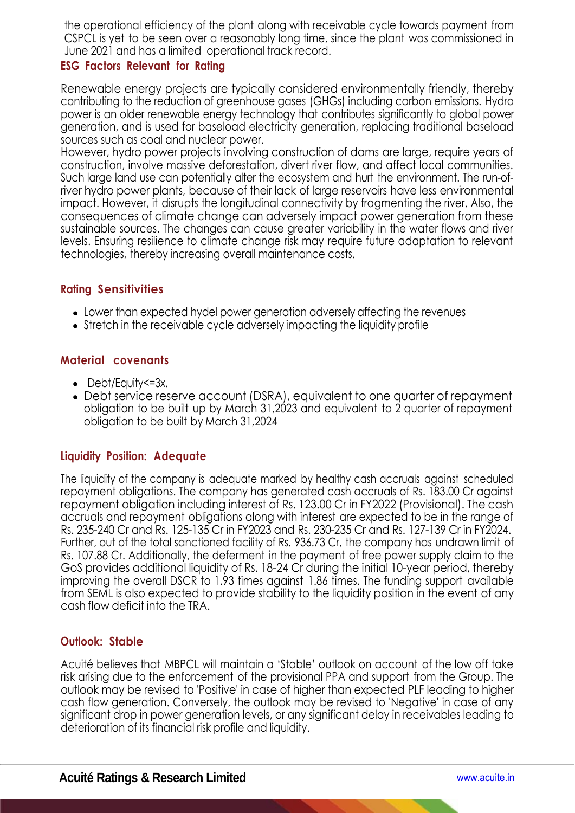the operational efficiency of the plant along with receivable cycle towards payment from CSPCL is yet to be seen over a reasonably long time, since the plant was commissioned in June 2021 and has a limited operational track record.

# **ESG Factors Relevant for Rating**

Renewable energy projects are typically considered environmentally friendly, thereby contributing to the reduction of greenhouse gases (GHGs) including carbon emissions. Hydro power is an older renewable energy technology that contributes significantly to global power generation, and is used for baseload electricity generation, replacing traditional baseload sources such as coal and nuclear power.

However, hydro power projects involving construction of dams are large, require years of construction, involve massive deforestation, divert river flow, and affect local communities. Such large land use can potentially alter the ecosystem and hurt the environment. The run-ofriver hydro power plants, because of their lack of large reservoirs have less environmental impact. However, it disrupts the longitudinal connectivity by fragmenting the river. Also, the consequences of climate change can adversely impact power generation from these sustainable sources. The changes can cause greater variability in the water flows and river levels. Ensuring resilience to climate change risk may require future adaptation to relevant technologies, thereby increasing overall maintenance costs.

# **Rating Sensitivities**

- Lower than expected hydel power generation adversely affecting the revenues
- Stretch in the receivable cycle adversely impacting the liquidity profile

## **Material covenants**

- Debt/Equity <= 3x.
- Debt service reserve account (DSRA), equivalent to one quarter of repayment obligation to be built up by March 31,2023 and equivalent to 2 quarter of repayment obligation to be built by March 31,2024

## **Liquidity Position: Adequate**

The liquidity of the company is adequate marked by healthy cash accruals against scheduled repayment obligations. The company has generated cash accruals of Rs. 183.00 Cr against repayment obligation including interest of Rs. 123.00 Cr in FY2022 (Provisional). The cash accruals and repayment obligations along with interest are expected to be in the range of Rs. 235-240 Cr and Rs. 125-135 Cr in FY2023 and Rs. 230-235 Cr and Rs. 127-139 Cr in FY2024. Further, out of the total sanctioned facility of Rs. 936.73 Cr, the company has undrawn limit of Rs. 107.88 Cr. Additionally, the deferment in the payment of free power supply claim to the GoS provides additional liquidity of Rs. 18-24 Cr during the initial 10-year period, thereby improving the overall DSCR to 1.93 times against 1.86 times. The funding support available from SEML is also expected to provide stability to the liquidity position in the event of any cash flow deficit into the TRA.

## **Outlook: Stable**

Acuité believes that MBPCL will maintain a 'Stable' outlook on account of the low off take risk arising due to the enforcement of the provisional PPA and support from the Group. The outlook may be revised to 'Positive' in case of higher than expected PLF leading to higher cash flow generation. Conversely, the outlook may be revised to 'Negative' in case of any significant drop in power generation levels, or any significant delay in receivables leading to deterioration of its financial risk profile and liquidity.

e.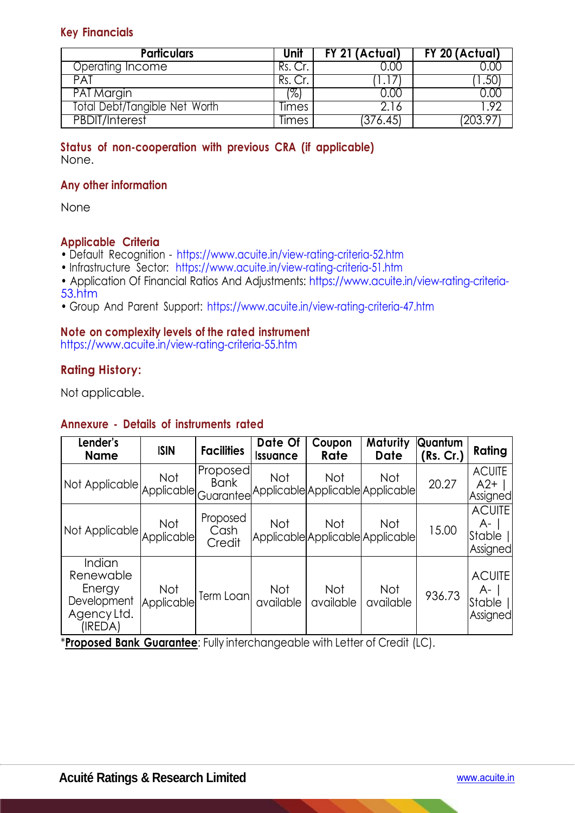### **Key Financials**

| <b>Particulars</b>            | Unit  | FY 21 (Actual) | $\overline{FY}$ 20 (Actual) |
|-------------------------------|-------|----------------|-----------------------------|
| Operating Income              | Rs.   |                |                             |
| <b>PAT</b>                    | Rs.   |                |                             |
| <b>PAT Margin</b>             | ו%'   |                |                             |
| Total Debt/Tangible Net Worth | Times | .16            |                             |
| <b>PBDIT/Interest</b>         | limes | 376.45,        | 203 9                       |

#### **Status of non-cooperation with previous CRA (if applicable)**  None.

### **Any other information**

None

### **Applicable Criteria**

- Default Recognition https://www.acuite.in/view-rating-criteria-52.htm
- Infrastructure Sector: https://www.acuite.in/view-rating-criteria-51.htm
- Application Of Financial Ratios And Adjustments: https://www.acuite.in/view-rating-criteria-53.htm
- Group And Parent Support: https://www.acuite.in/view-rating-criteria-47.htm

### **Note on complexity levels of the rated instrument**

https://www.acuite.in/view-rating-criteria-55.htm

### **Rating History:**

Not applicable.

### **Annexure - Details of instruments rated**

| Lender's<br><b>Name</b>                                                | <b>ISIN</b>              | <b>Facilities</b>          | Date Of<br><b>Issuance</b> | Coupon<br>Rate                          | Maturity<br><b>Date</b> | Quantum<br>(Rs. Cr.) | Rating                                    |
|------------------------------------------------------------------------|--------------------------|----------------------------|----------------------------|-----------------------------------------|-------------------------|----------------------|-------------------------------------------|
| Not Applicable Not Bank<br>Not Applicable Guarantee                    |                          |                            | Not                        | Not<br>Applicable Applicable Applicable | Not                     | 20.27                | <b>ACUITE</b><br>$A2+$<br>Assigned        |
| Not Applicable Not<br>Applicable                                       |                          | Proposed<br>Cash<br>Credit | Not                        | Not<br>Applicable Applicable Applicable | Not                     | 15.00                | <b>ACUITE</b><br>A-<br>Stable<br>Assigned |
| Indian<br>Renewable<br>Energy<br>Development<br>Agency Ltd.<br>(IREDA) | <b>Not</b><br>Applicable | Term Loan                  | Not<br>available           | Not<br>available                        | Not<br>available        | 936.73               | <b>ACUITE</b><br>A-<br>Stable<br>Assigned |

\***Proposed Bank Guarantee**: Fully interchangeable with Letter of Credit (LC).

k,